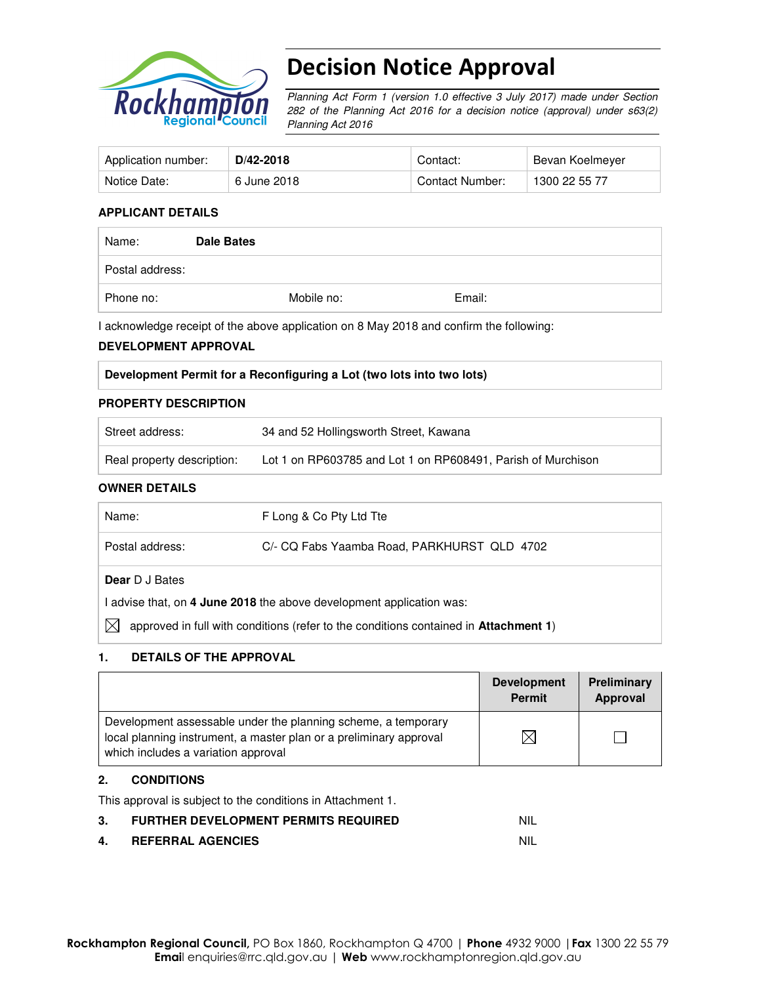

# Decision Notice Approval

Planning Act Form 1 (version 1.0 effective 3 July 2017) made under Section 282 of the Planning Act 2016 for a decision notice (approval) under s63(2) Planning Act 2016

| Application number: | D/42-2018   | Contact:        | Bevan Koelmeyer |
|---------------------|-------------|-----------------|-----------------|
| Notice Date:        | 6 June 2018 | Contact Number: | 1300 22 55 77   |

#### **APPLICANT DETAILS**

| Name:           | Dale Bates |            |        |
|-----------------|------------|------------|--------|
| Postal address: |            |            |        |
| Phone no:       |            | Mobile no: | Email: |

I acknowledge receipt of the above application on 8 May 2018 and confirm the following:

#### **DEVELOPMENT APPROVAL**

| Development Permit for a Reconfiguring a Lot (two lots into two lots) |  |
|-----------------------------------------------------------------------|--|
|                                                                       |  |

#### **PROPERTY DESCRIPTION**

| Street address:            | 34 and 52 Hollingsworth Street, Kawana                       |
|----------------------------|--------------------------------------------------------------|
| Real property description: | Lot 1 on RP603785 and Lot 1 on RP608491, Parish of Murchison |

#### **OWNER DETAILS**

| Name:                                                                                              | F Long & Co Pty Ltd Tte                     |  |  |  |
|----------------------------------------------------------------------------------------------------|---------------------------------------------|--|--|--|
| Postal address:                                                                                    | C/- CQ Fabs Yaamba Road, PARKHURST QLD 4702 |  |  |  |
| <b>Dear</b> D J Bates                                                                              |                                             |  |  |  |
| I advise that, on 4 June 2018 the above development application was:                               |                                             |  |  |  |
| IX<br>approved in full with conditions (refer to the conditions contained in <b>Attachment 1</b> ) |                                             |  |  |  |

### **1. DETAILS OF THE APPROVAL**

|                                                                                                                                                                            | <b>Development</b><br><b>Permit</b> | Preliminary<br>Approval |
|----------------------------------------------------------------------------------------------------------------------------------------------------------------------------|-------------------------------------|-------------------------|
| Development assessable under the planning scheme, a temporary<br>local planning instrument, a master plan or a preliminary approval<br>which includes a variation approval |                                     |                         |

## **2. CONDITIONS**

This approval is subject to the conditions in Attachment 1.

| <b>FURTHER DEVELOPMENT PERMITS REQUIRED</b> | <b>NIL</b> |
|---------------------------------------------|------------|
| <b>REFERRAL AGENCIES</b>                    | NIL        |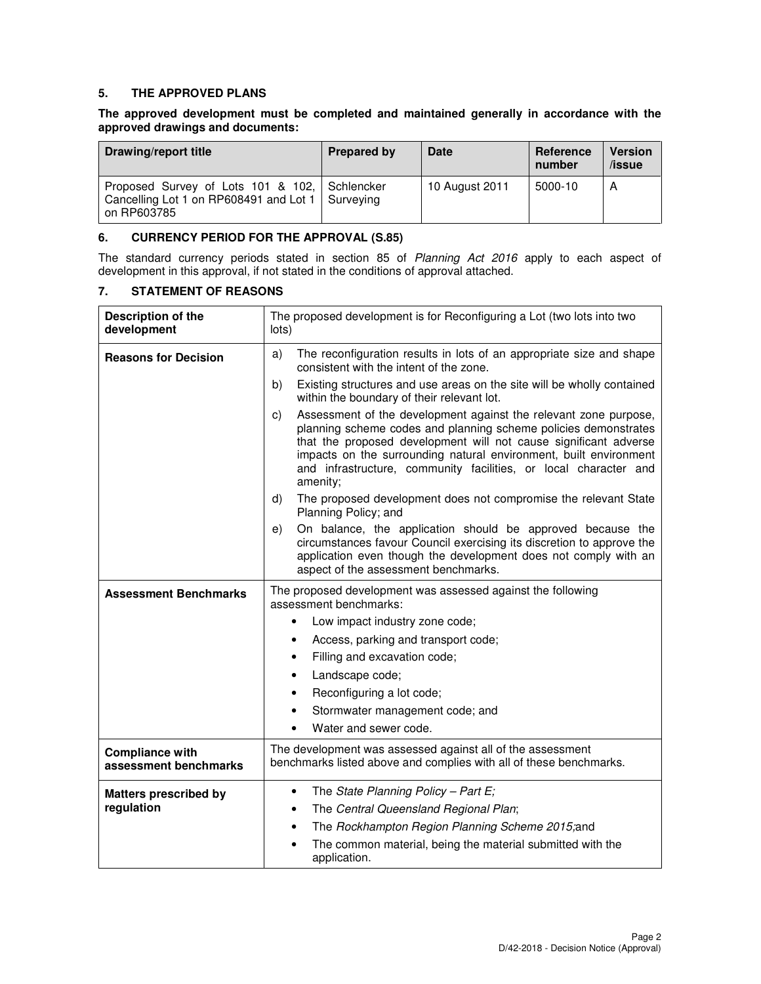### **5. THE APPROVED PLANS**

### **The approved development must be completed and maintained generally in accordance with the approved drawings and documents:**

| Drawing/report title                                                                                               | <b>Prepared by</b> | <b>Date</b>    | Reference<br>number | <b>Version</b><br>$l$ issue |
|--------------------------------------------------------------------------------------------------------------------|--------------------|----------------|---------------------|-----------------------------|
| Proposed Survey of Lots 101 & 102, Schlencker<br>Cancelling Lot 1 on RP608491 and Lot 1   Surveying<br>on RP603785 |                    | 10 August 2011 | 5000-10             | A                           |

### **6. CURRENCY PERIOD FOR THE APPROVAL (S.85)**

The standard currency periods stated in section 85 of Planning Act 2016 apply to each aspect of development in this approval, if not stated in the conditions of approval attached.

## **7. STATEMENT OF REASONS**

| Description of the<br>development               | The proposed development is for Reconfiguring a Lot (two lots into two<br>lots)                                                                                                                                                                                                                                                                                    |  |  |
|-------------------------------------------------|--------------------------------------------------------------------------------------------------------------------------------------------------------------------------------------------------------------------------------------------------------------------------------------------------------------------------------------------------------------------|--|--|
| <b>Reasons for Decision</b>                     | The reconfiguration results in lots of an appropriate size and shape<br>a)<br>consistent with the intent of the zone.                                                                                                                                                                                                                                              |  |  |
|                                                 | b)<br>Existing structures and use areas on the site will be wholly contained<br>within the boundary of their relevant lot.                                                                                                                                                                                                                                         |  |  |
|                                                 | Assessment of the development against the relevant zone purpose,<br>c)<br>planning scheme codes and planning scheme policies demonstrates<br>that the proposed development will not cause significant adverse<br>impacts on the surrounding natural environment, built environment<br>and infrastructure, community facilities, or local character and<br>amenity; |  |  |
|                                                 | The proposed development does not compromise the relevant State<br>d)<br>Planning Policy; and                                                                                                                                                                                                                                                                      |  |  |
|                                                 | On balance, the application should be approved because the<br>e)<br>circumstances favour Council exercising its discretion to approve the<br>application even though the development does not comply with an<br>aspect of the assessment benchmarks.                                                                                                               |  |  |
| <b>Assessment Benchmarks</b>                    | The proposed development was assessed against the following<br>assessment benchmarks:                                                                                                                                                                                                                                                                              |  |  |
|                                                 | Low impact industry zone code;<br>$\bullet$                                                                                                                                                                                                                                                                                                                        |  |  |
|                                                 | Access, parking and transport code;<br>$\bullet$                                                                                                                                                                                                                                                                                                                   |  |  |
|                                                 | Filling and excavation code;<br>$\bullet$                                                                                                                                                                                                                                                                                                                          |  |  |
|                                                 | Landscape code;<br>٠                                                                                                                                                                                                                                                                                                                                               |  |  |
|                                                 | Reconfiguring a lot code;<br>$\bullet$                                                                                                                                                                                                                                                                                                                             |  |  |
|                                                 | Stormwater management code; and<br>$\bullet$                                                                                                                                                                                                                                                                                                                       |  |  |
|                                                 | Water and sewer code.<br>$\bullet$                                                                                                                                                                                                                                                                                                                                 |  |  |
| <b>Compliance with</b><br>assessment benchmarks | The development was assessed against all of the assessment<br>benchmarks listed above and complies with all of these benchmarks.                                                                                                                                                                                                                                   |  |  |
| <b>Matters prescribed by</b>                    | The State Planning Policy - Part E;<br>$\bullet$                                                                                                                                                                                                                                                                                                                   |  |  |
| regulation                                      | The Central Queensland Regional Plan;<br>$\bullet$                                                                                                                                                                                                                                                                                                                 |  |  |
|                                                 | The Rockhampton Region Planning Scheme 2015;and<br>$\bullet$                                                                                                                                                                                                                                                                                                       |  |  |
|                                                 | The common material, being the material submitted with the<br>$\bullet$<br>application.                                                                                                                                                                                                                                                                            |  |  |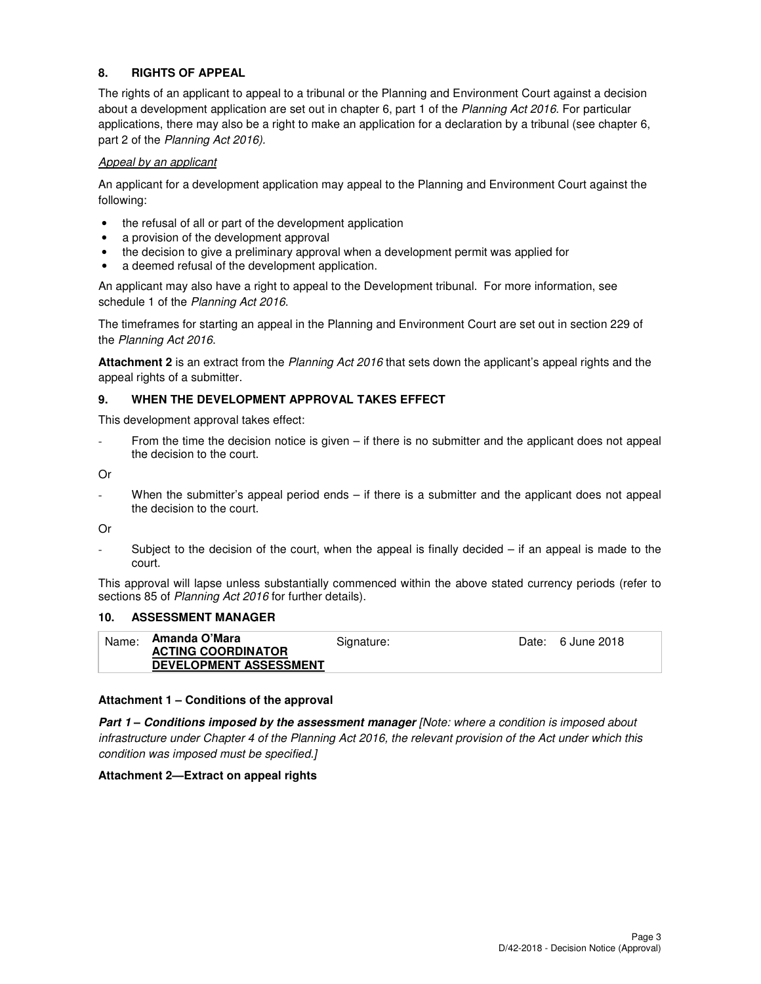## **8. RIGHTS OF APPEAL**

The rights of an applicant to appeal to a tribunal or the Planning and Environment Court against a decision about a development application are set out in chapter 6, part 1 of the Planning Act 2016. For particular applications, there may also be a right to make an application for a declaration by a tribunal (see chapter 6, part 2 of the Planning Act 2016).

#### Appeal by an applicant

An applicant for a development application may appeal to the Planning and Environment Court against the following:

- the refusal of all or part of the development application
- a provision of the development approval
- the decision to give a preliminary approval when a development permit was applied for
- a deemed refusal of the development application.

An applicant may also have a right to appeal to the Development tribunal. For more information, see schedule 1 of the Planning Act 2016.

The timeframes for starting an appeal in the Planning and Environment Court are set out in section 229 of the Planning Act 2016.

**Attachment 2** is an extract from the Planning Act 2016 that sets down the applicant's appeal rights and the appeal rights of a submitter.

#### **9. WHEN THE DEVELOPMENT APPROVAL TAKES EFFECT**

This development approval takes effect:

From the time the decision notice is given – if there is no submitter and the applicant does not appeal the decision to the court.

Or

When the submitter's appeal period ends – if there is a submitter and the applicant does not appeal the decision to the court.

Or

Subject to the decision of the court, when the appeal is finally decided  $-$  if an appeal is made to the court.

This approval will lapse unless substantially commenced within the above stated currency periods (refer to sections 85 of Planning Act 2016 for further details).

## **10. ASSESSMENT MANAGER**

| Name: | Amanda O'Mara                 | Signature: | Date: 6 June 2018 |
|-------|-------------------------------|------------|-------------------|
|       | <b>ACTING COORDINATOR</b>     |            |                   |
|       | <b>DEVELOPMENT ASSESSMENT</b> |            |                   |

#### **Attachment 1 – Conditions of the approval**

**Part 1 – Conditions imposed by the assessment manager** [Note: where a condition is imposed about infrastructure under Chapter 4 of the Planning Act 2016, the relevant provision of the Act under which this condition was imposed must be specified.]

#### **Attachment 2—Extract on appeal rights**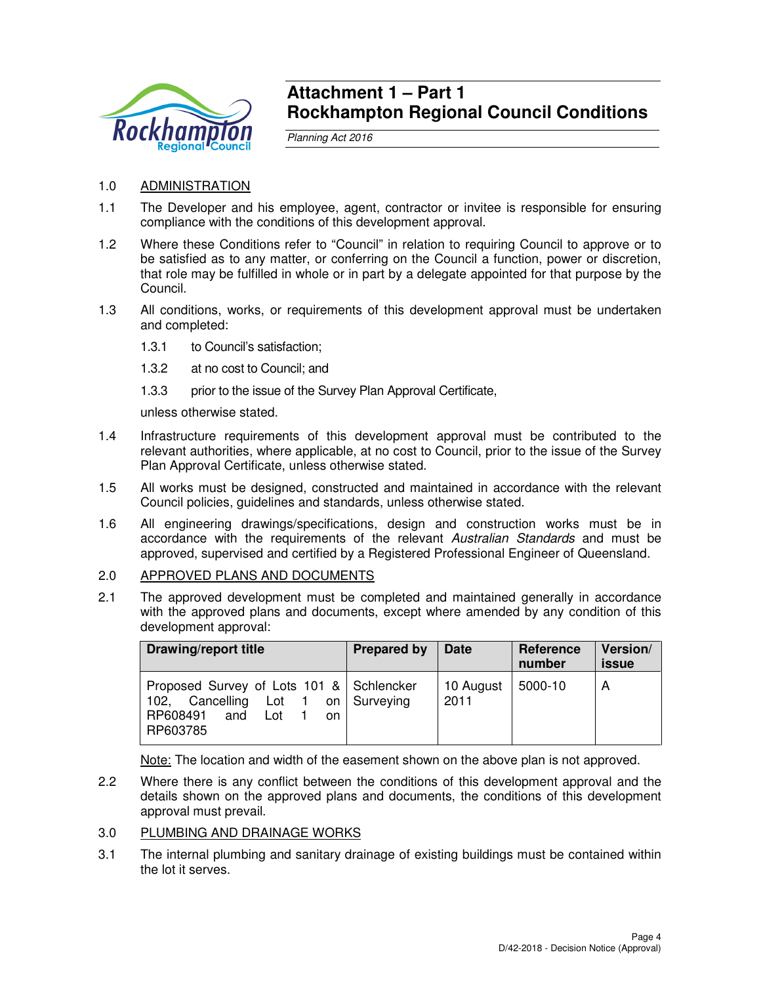

## **Attachment 1 – Part 1 Rockhampton Regional Council Conditions**

Planning Act 2016

- 1.0 ADMINISTRATION
- 1.1 The Developer and his employee, agent, contractor or invitee is responsible for ensuring compliance with the conditions of this development approval.
- 1.2 Where these Conditions refer to "Council" in relation to requiring Council to approve or to be satisfied as to any matter, or conferring on the Council a function, power or discretion, that role may be fulfilled in whole or in part by a delegate appointed for that purpose by the Council.
- 1.3 All conditions, works, or requirements of this development approval must be undertaken and completed:
	- 1.3.1 to Council's satisfaction;
	- 1.3.2 at no cost to Council; and
	- 1.3.3 prior to the issue of the Survey Plan Approval Certificate,

unless otherwise stated.

- 1.4 Infrastructure requirements of this development approval must be contributed to the relevant authorities, where applicable, at no cost to Council, prior to the issue of the Survey Plan Approval Certificate, unless otherwise stated.
- 1.5 All works must be designed, constructed and maintained in accordance with the relevant Council policies, guidelines and standards, unless otherwise stated.
- 1.6 All engineering drawings/specifications, design and construction works must be in accordance with the requirements of the relevant Australian Standards and must be approved, supervised and certified by a Registered Professional Engineer of Queensland.
- 2.0 APPROVED PLANS AND DOCUMENTS
- 2.1 The approved development must be completed and maintained generally in accordance with the approved plans and documents, except where amended by any condition of this development approval:

| Drawing/report title                                                                                                     | <b>Prepared by</b> | <b>Date</b>       | Reference<br>number | Version/<br><b>issue</b> |
|--------------------------------------------------------------------------------------------------------------------------|--------------------|-------------------|---------------------|--------------------------|
| Proposed Survey of Lots 101 & Schlencker<br>Cancelling Lot 1<br>102.<br>on l<br>RP608491 and<br>Lot<br>on.<br>  RP603785 | Surveying          | 10 August<br>2011 | 5000-10             | А                        |

Note: The location and width of the easement shown on the above plan is not approved.

- 2.2 Where there is any conflict between the conditions of this development approval and the details shown on the approved plans and documents, the conditions of this development approval must prevail.
- 3.0 PLUMBING AND DRAINAGE WORKS
- 3.1 The internal plumbing and sanitary drainage of existing buildings must be contained within the lot it serves.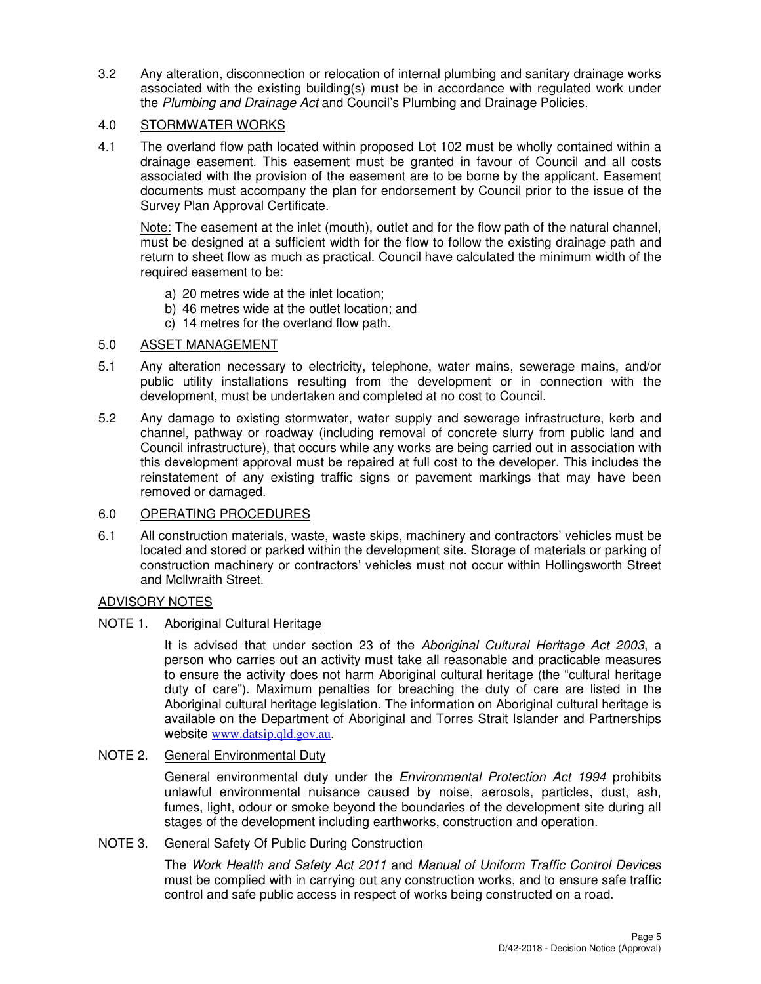3.2 Any alteration, disconnection or relocation of internal plumbing and sanitary drainage works associated with the existing building(s) must be in accordance with regulated work under the Plumbing and Drainage Act and Council's Plumbing and Drainage Policies.

## 4.0 STORMWATER WORKS

4.1 The overland flow path located within proposed Lot 102 must be wholly contained within a drainage easement. This easement must be granted in favour of Council and all costs associated with the provision of the easement are to be borne by the applicant. Easement documents must accompany the plan for endorsement by Council prior to the issue of the Survey Plan Approval Certificate.

Note: The easement at the inlet (mouth), outlet and for the flow path of the natural channel, must be designed at a sufficient width for the flow to follow the existing drainage path and return to sheet flow as much as practical. Council have calculated the minimum width of the required easement to be:

- a) 20 metres wide at the inlet location;
- b) 46 metres wide at the outlet location; and
- c) 14 metres for the overland flow path.

## 5.0 ASSET MANAGEMENT

- 5.1 Any alteration necessary to electricity, telephone, water mains, sewerage mains, and/or public utility installations resulting from the development or in connection with the development, must be undertaken and completed at no cost to Council.
- 5.2 Any damage to existing stormwater, water supply and sewerage infrastructure, kerb and channel, pathway or roadway (including removal of concrete slurry from public land and Council infrastructure), that occurs while any works are being carried out in association with this development approval must be repaired at full cost to the developer. This includes the reinstatement of any existing traffic signs or pavement markings that may have been removed or damaged.

## 6.0 OPERATING PROCEDURES

6.1 All construction materials, waste, waste skips, machinery and contractors' vehicles must be located and stored or parked within the development site. Storage of materials or parking of construction machinery or contractors' vehicles must not occur within Hollingsworth Street and Mcllwraith Street.

## ADVISORY NOTES

## NOTE 1. Aboriginal Cultural Heritage

It is advised that under section 23 of the Aboriginal Cultural Heritage Act 2003, a person who carries out an activity must take all reasonable and practicable measures to ensure the activity does not harm Aboriginal cultural heritage (the "cultural heritage duty of care"). Maximum penalties for breaching the duty of care are listed in the Aboriginal cultural heritage legislation. The information on Aboriginal cultural heritage is available on the Department of Aboriginal and Torres Strait Islander and Partnerships website www.datsip.qld.gov.au.

## NOTE 2. General Environmental Duty

General environmental duty under the *Environmental Protection Act 1994* prohibits unlawful environmental nuisance caused by noise, aerosols, particles, dust, ash, fumes, light, odour or smoke beyond the boundaries of the development site during all stages of the development including earthworks, construction and operation.

## NOTE 3. General Safety Of Public During Construction

The Work Health and Safety Act 2011 and Manual of Uniform Traffic Control Devices must be complied with in carrying out any construction works, and to ensure safe traffic control and safe public access in respect of works being constructed on a road.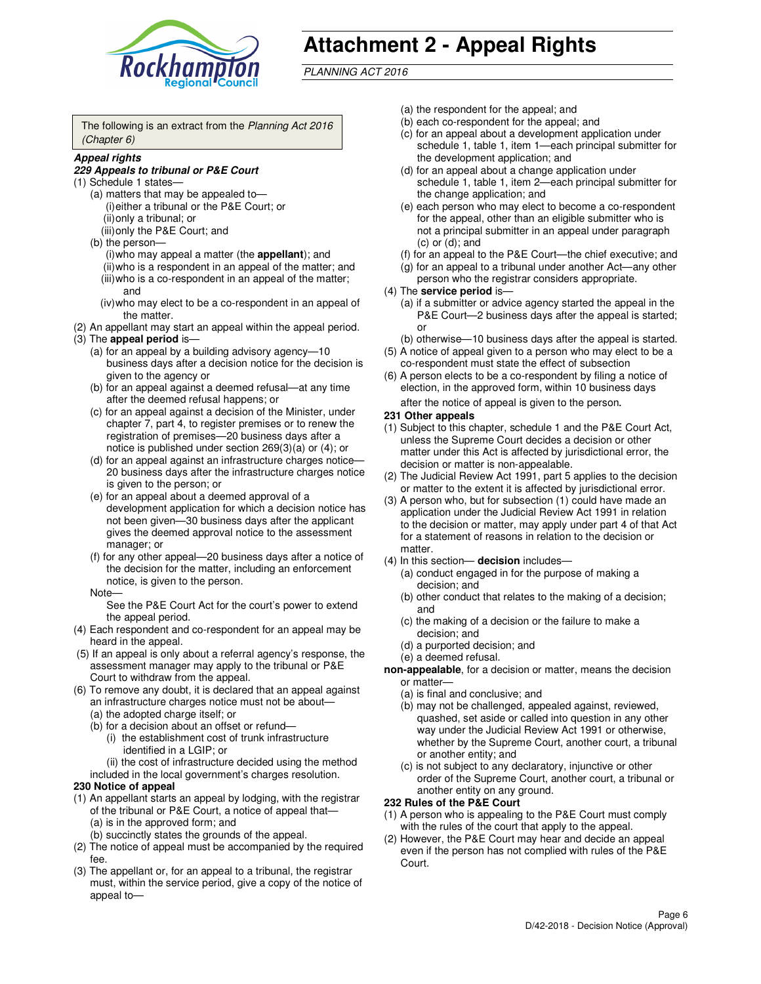

# **Attachment 2 - Appeal Rights**

PLANNING ACT 2016

The following is an extract from the Planning Act 2016 (Chapter 6)

#### **Appeal rights**

#### **229 Appeals to tribunal or P&E Court**

- (1) Schedule 1 states—
	- (a) matters that may be appealed to— (i) either a tribunal or the P&E Court; or (ii) only a tribunal; or (iii) only the P&E Court; and
	- (b) the person—
		- (i) who may appeal a matter (the **appellant**); and
		- (ii) who is a respondent in an appeal of the matter; and (iii) who is a co-respondent in an appeal of the matter;
		- and (iv) who may elect to be a co-respondent in an appeal of the matter.
- (2) An appellant may start an appeal within the appeal period.
- (3) The **appeal period** is—
	- (a) for an appeal by a building advisory agency—10 business days after a decision notice for the decision is given to the agency or
	- (b) for an appeal against a deemed refusal—at any time after the deemed refusal happens; or
	- (c) for an appeal against a decision of the Minister, under chapter 7, part 4, to register premises or to renew the registration of premises—20 business days after a notice is published under section 269(3)(a) or (4); or
	- (d) for an appeal against an infrastructure charges notice— 20 business days after the infrastructure charges notice is given to the person; or
	- (e) for an appeal about a deemed approval of a development application for which a decision notice has not been given—30 business days after the applicant gives the deemed approval notice to the assessment manager; or
	- (f) for any other appeal—20 business days after a notice of the decision for the matter, including an enforcement notice, is given to the person.
	- Note—

See the P&E Court Act for the court's power to extend the appeal period.

- (4) Each respondent and co-respondent for an appeal may be heard in the appeal.
- (5) If an appeal is only about a referral agency's response, the assessment manager may apply to the tribunal or P&E Court to withdraw from the appeal.
- (6) To remove any doubt, it is declared that an appeal against an infrastructure charges notice must not be about—
	- (a) the adopted charge itself; or
	- (b) for a decision about an offset or refund—
		- (i) the establishment cost of trunk infrastructure identified in a LGIP; or
		- (ii) the cost of infrastructure decided using the method
- included in the local government's charges resolution. **230 Notice of appeal**
- (1) An appellant starts an appeal by lodging, with the registrar of the tribunal or P&E Court, a notice of appeal that—
	- (a) is in the approved form; and
	- (b) succinctly states the grounds of the appeal.
- (2) The notice of appeal must be accompanied by the required fee.
- (3) The appellant or, for an appeal to a tribunal, the registrar must, within the service period, give a copy of the notice of appeal to—
- (a) the respondent for the appeal; and
- (b) each co-respondent for the appeal; and
- (c) for an appeal about a development application under schedule 1, table 1, item 1—each principal submitter for the development application; and
- (d) for an appeal about a change application under schedule 1, table 1, item 2—each principal submitter for the change application; and
- (e) each person who may elect to become a co-respondent for the appeal, other than an eligible submitter who is not a principal submitter in an appeal under paragraph  $(c)$  or  $(d)$ ; and
- (f) for an appeal to the P&E Court—the chief executive; and
- (g) for an appeal to a tribunal under another Act—any other person who the registrar considers appropriate.
- (4) The **service period** is—
	- (a) if a submitter or advice agency started the appeal in the P&E Court—2 business days after the appeal is started; or
	- (b) otherwise—10 business days after the appeal is started.
- (5) A notice of appeal given to a person who may elect to be a co-respondent must state the effect of subsection
- (6) A person elects to be a co-respondent by filing a notice of election, in the approved form, within 10 business days after the notice of appeal is given to the person*.*
- **231 Other appeals**
- (1) Subject to this chapter, schedule 1 and the P&E Court Act, unless the Supreme Court decides a decision or other matter under this Act is affected by jurisdictional error, the decision or matter is non-appealable.
- (2) The Judicial Review Act 1991, part 5 applies to the decision or matter to the extent it is affected by jurisdictional error.
- (3) A person who, but for subsection (1) could have made an application under the Judicial Review Act 1991 in relation to the decision or matter, may apply under part 4 of that Act for a statement of reasons in relation to the decision or matter.
- (4) In this section— **decision** includes—
	- (a) conduct engaged in for the purpose of making a decision; and
	- (b) other conduct that relates to the making of a decision; and
	- (c) the making of a decision or the failure to make a decision; and
	- (d) a purported decision; and
	- (e) a deemed refusal.

**non-appealable**, for a decision or matter, means the decision or matter—

- (a) is final and conclusive; and
- (b) may not be challenged, appealed against, reviewed, quashed, set aside or called into question in any other way under the Judicial Review Act 1991 or otherwise, whether by the Supreme Court, another court, a tribunal or another entity; and
- (c) is not subject to any declaratory, injunctive or other order of the Supreme Court, another court, a tribunal or another entity on any ground.

#### **232 Rules of the P&E Court**

- (1) A person who is appealing to the P&E Court must comply with the rules of the court that apply to the appeal.
- (2) However, the P&E Court may hear and decide an appeal even if the person has not complied with rules of the P&E Court.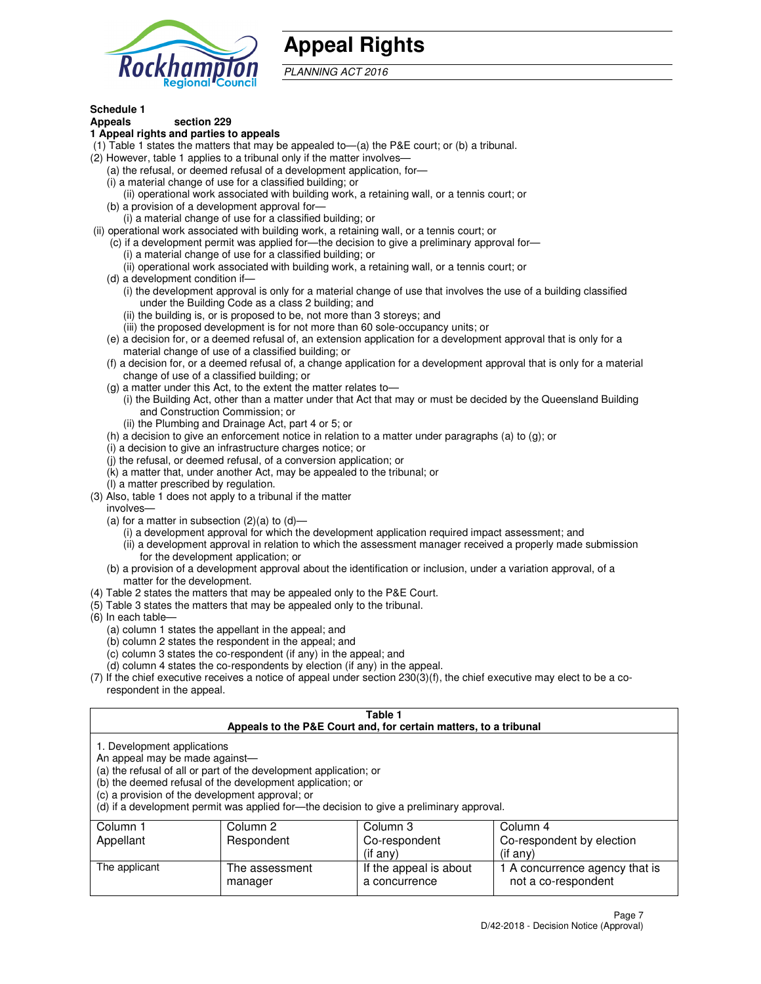

## **Appeal Rights**

PLANNING ACT 2016

## **Schedule 1**

## **Appeals section 229**

#### **1 Appeal rights and parties to appeals**

- (1) Table 1 states the matters that may be appealed to—(a) the P&E court; or (b) a tribunal.
- (2) However, table 1 applies to a tribunal only if the matter involves—
	- (a) the refusal, or deemed refusal of a development application, for—
	- (i) a material change of use for a classified building; or
	- (ii) operational work associated with building work, a retaining wall, or a tennis court; or
	- (b) a provision of a development approval for—
	- (i) a material change of use for a classified building; or
- (ii) operational work associated with building work, a retaining wall, or a tennis court; or
	- (c) if a development permit was applied for—the decision to give a preliminary approval for—
		- (i) a material change of use for a classified building; or
		- (ii) operational work associated with building work, a retaining wall, or a tennis court; or
	- (d) a development condition if—
		- (i) the development approval is only for a material change of use that involves the use of a building classified under the Building Code as a class 2 building; and
		- (ii) the building is, or is proposed to be, not more than 3 storeys; and
		- (iii) the proposed development is for not more than 60 sole-occupancy units; or
	- (e) a decision for, or a deemed refusal of, an extension application for a development approval that is only for a material change of use of a classified building; or
	- (f) a decision for, or a deemed refusal of, a change application for a development approval that is only for a material change of use of a classified building; or
	- (g) a matter under this Act, to the extent the matter relates to—
		- (i) the Building Act, other than a matter under that Act that may or must be decided by the Queensland Building and Construction Commission; or
		- (ii) the Plumbing and Drainage Act, part 4 or 5; or
	- (h) a decision to give an enforcement notice in relation to a matter under paragraphs (a) to (g); or
	- (i) a decision to give an infrastructure charges notice; or
	- (j) the refusal, or deemed refusal, of a conversion application; or
	- (k) a matter that, under another Act, may be appealed to the tribunal; or
	- (l) a matter prescribed by regulation.
- (3) Also, table 1 does not apply to a tribunal if the matter
	- involves—
	- (a) for a matter in subsection  $(2)(a)$  to  $(d)$ 
		- (i) a development approval for which the development application required impact assessment; and
		- (ii) a development approval in relation to which the assessment manager received a properly made submission for the development application; or
	- (b) a provision of a development approval about the identification or inclusion, under a variation approval, of a matter for the development.
- (4) Table 2 states the matters that may be appealed only to the P&E Court.
- (5) Table 3 states the matters that may be appealed only to the tribunal.
- (6) In each table—
	- (a) column 1 states the appellant in the appeal; and
	- (b) column 2 states the respondent in the appeal; and
	- (c) column 3 states the co-respondent (if any) in the appeal; and
	- (d) column 4 states the co-respondents by election (if any) in the appeal.
- (7) If the chief executive receives a notice of appeal under section 230(3)(f), the chief executive may elect to be a corespondent in the appeal.

| Table 1<br>Appeals to the P&E Court and, for certain matters, to a tribunal                                      |                                                                                                                                |                                                                                          |                                                       |  |  |  |
|------------------------------------------------------------------------------------------------------------------|--------------------------------------------------------------------------------------------------------------------------------|------------------------------------------------------------------------------------------|-------------------------------------------------------|--|--|--|
| 1. Development applications<br>An appeal may be made against-<br>(c) a provision of the development approval; or | (a) the refusal of all or part of the development application; or<br>(b) the deemed refusal of the development application; or | (d) if a development permit was applied for—the decision to give a preliminary approval. |                                                       |  |  |  |
| Column 1                                                                                                         | Column 2                                                                                                                       | Column 3                                                                                 | Column 4                                              |  |  |  |
| Appellant                                                                                                        | Respondent<br>Co-respondent<br>Co-respondent by election                                                                       |                                                                                          |                                                       |  |  |  |
| $(i$ f any $)$<br>$(i$ f any)                                                                                    |                                                                                                                                |                                                                                          |                                                       |  |  |  |
| The applicant                                                                                                    | The assessment<br>manager                                                                                                      | If the appeal is about<br>a concurrence                                                  | 1 A concurrence agency that is<br>not a co-respondent |  |  |  |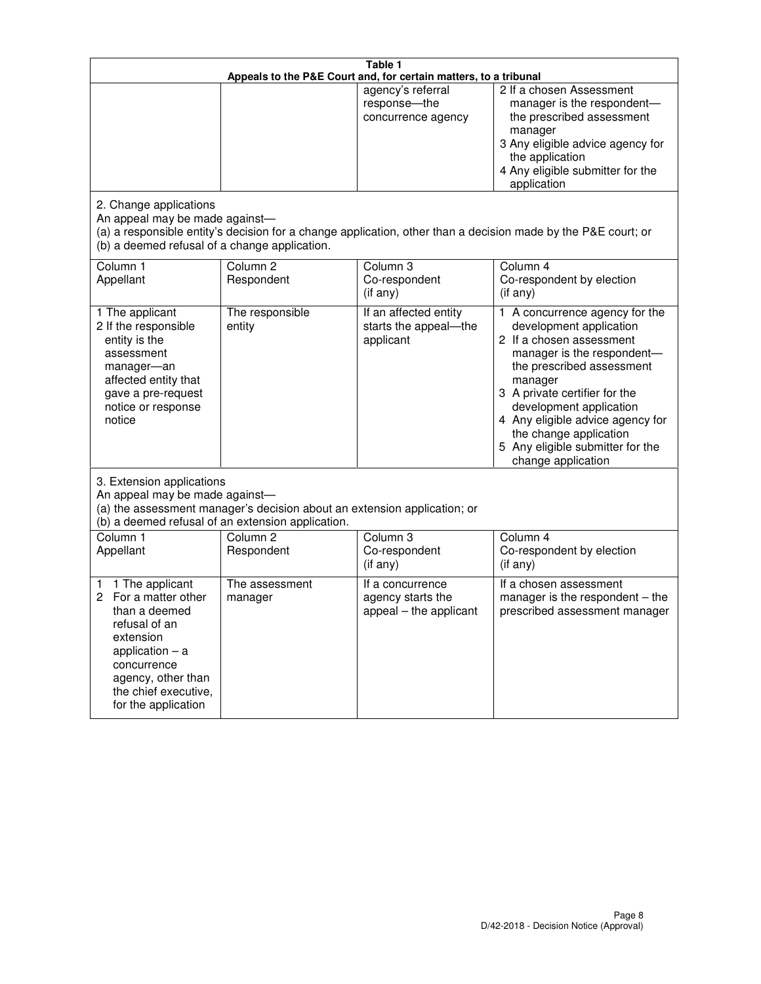| Table 1<br>Appeals to the P&E Court and, for certain matters, to a tribunal                                                                                                                             |                                   |                                                                 |                                                                                                                                                                                                                                                                                                                                                 |  |
|---------------------------------------------------------------------------------------------------------------------------------------------------------------------------------------------------------|-----------------------------------|-----------------------------------------------------------------|-------------------------------------------------------------------------------------------------------------------------------------------------------------------------------------------------------------------------------------------------------------------------------------------------------------------------------------------------|--|
|                                                                                                                                                                                                         |                                   | agency's referral<br>response-the<br>concurrence agency         | 2 If a chosen Assessment<br>manager is the respondent-<br>the prescribed assessment<br>manager<br>3 Any eligible advice agency for<br>the application<br>4 Any eligible submitter for the<br>application                                                                                                                                        |  |
| 2. Change applications<br>An appeal may be made against-<br>(b) a deemed refusal of a change application.                                                                                               |                                   |                                                                 | (a) a responsible entity's decision for a change application, other than a decision made by the P&E court; or                                                                                                                                                                                                                                   |  |
| Column 1<br>Appellant                                                                                                                                                                                   | Column <sub>2</sub><br>Respondent | Column <sub>3</sub><br>Co-respondent<br>(if any)                | Column 4<br>Co-respondent by election<br>(if any)                                                                                                                                                                                                                                                                                               |  |
| 1 The applicant<br>2 If the responsible<br>entity is the<br>assessment<br>manager-an<br>affected entity that<br>gave a pre-request<br>notice or response<br>notice                                      | The responsible<br>entity         | If an affected entity<br>starts the appeal-the<br>applicant     | 1 A concurrence agency for the<br>development application<br>2 If a chosen assessment<br>manager is the respondent-<br>the prescribed assessment<br>manager<br>3 A private certifier for the<br>development application<br>4 Any eligible advice agency for<br>the change application<br>5 Any eligible submitter for the<br>change application |  |
| 3. Extension applications<br>An appeal may be made against-<br>(a) the assessment manager's decision about an extension application; or<br>(b) a deemed refusal of an extension application.            |                                   |                                                                 |                                                                                                                                                                                                                                                                                                                                                 |  |
| Column 1<br>Appellant                                                                                                                                                                                   | Column <sub>2</sub><br>Respondent | Column 3<br>Co-respondent<br>(if any)                           | Column 4<br>Co-respondent by election<br>(if any)                                                                                                                                                                                                                                                                                               |  |
| 1 The applicant<br>1<br>For a matter other<br>2<br>than a deemed<br>refusal of an<br>extension<br>application $-$ a<br>concurrence<br>agency, other than<br>the chief executive,<br>for the application | The assessment<br>manager         | If a concurrence<br>agency starts the<br>appeal - the applicant | If a chosen assessment<br>manager is the respondent – the<br>prescribed assessment manager                                                                                                                                                                                                                                                      |  |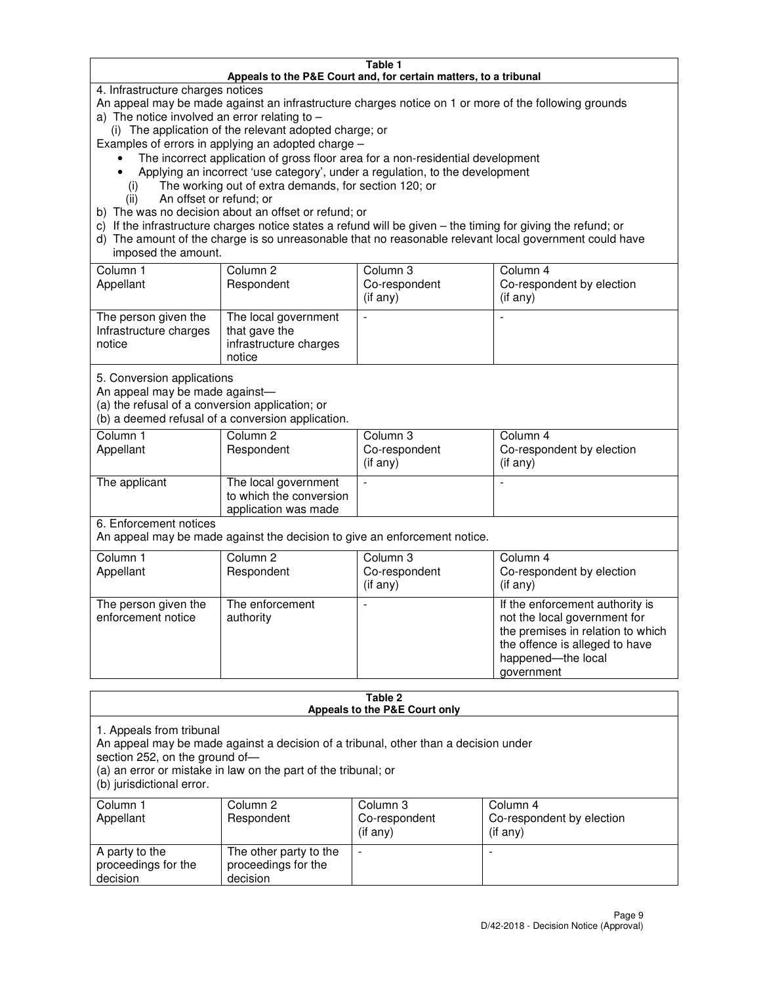#### **Table 1 Appeals to the P&E Court and, for certain matters, to a tribunal**

4. Infrastructure charges notices

An appeal may be made against an infrastructure charges notice on 1 or more of the following grounds

- a) The notice involved an error relating to
	- (i) The application of the relevant adopted charge; or
- Examples of errors in applying an adopted charge
	- The incorrect application of gross floor area for a non-residential development
	- Applying an incorrect 'use category', under a regulation, to the development
		- (i) The working out of extra demands, for section 120; or
		- (ii) An offset or refund; or
- b) The was no decision about an offset or refund; or
- c) If the infrastructure charges notice states a refund will be given the timing for giving the refund; or
- d) The amount of the charge is so unreasonable that no reasonable relevant local government could have imposed the amount.

| Column 1<br>Appellant                                    | Column 2<br>Respondent                                                    | Column 3<br>Co-respondent<br>$($ if any $)$ | Column 4<br>Co-respondent by election<br>$($ if any $)$ |
|----------------------------------------------------------|---------------------------------------------------------------------------|---------------------------------------------|---------------------------------------------------------|
| The person given the<br>Infrastructure charges<br>notice | The local government<br>that gave the<br>infrastructure charges<br>notice |                                             |                                                         |

5. Conversion applications

An appeal may be made against—

(a) the refusal of a conversion application; or

(b) a deemed refusal of a conversion application.

| Column 1<br>Appellant | Column 2<br>Respondent                                                  | Column 3<br>Co-respondent<br>$($ if any $)$ | Column 4<br>Co-respondent by election<br>$($ if any $)$ |
|-----------------------|-------------------------------------------------------------------------|---------------------------------------------|---------------------------------------------------------|
| The applicant         | The local government<br>to which the conversion<br>application was made |                                             |                                                         |

6. Enforcement notices

An appeal may be made against the decision to give an enforcement notice.

| Column 1<br>Appellant                      | Column 2<br>Respondent       | Column 3<br>Co-respondent<br>$($ if any $)$ | Column 4<br>Co-respondent by election<br>(if any)                                                                                                                          |
|--------------------------------------------|------------------------------|---------------------------------------------|----------------------------------------------------------------------------------------------------------------------------------------------------------------------------|
| The person given the<br>enforcement notice | The enforcement<br>authority |                                             | If the enforcement authority is<br>not the local government for<br>the premises in relation to which<br>the offence is alleged to have<br>happened-the local<br>government |

#### **Table 2 Appeals to the P&E Court only**

1. Appeals from tribunal

An appeal may be made against a decision of a tribunal, other than a decision under

section 252, on the ground of—

(a) an error or mistake in law on the part of the tribunal; or

(b) jurisdictional error.

| Column 1<br>Appellant                             | Column 2<br>Respondent                                    | Column 3<br>Co-respondent<br>(if any) | Column 4<br>Co-respondent by election<br>(if any) |
|---------------------------------------------------|-----------------------------------------------------------|---------------------------------------|---------------------------------------------------|
| A party to the<br>proceedings for the<br>decision | The other party to the<br>proceedings for the<br>decision | -                                     |                                                   |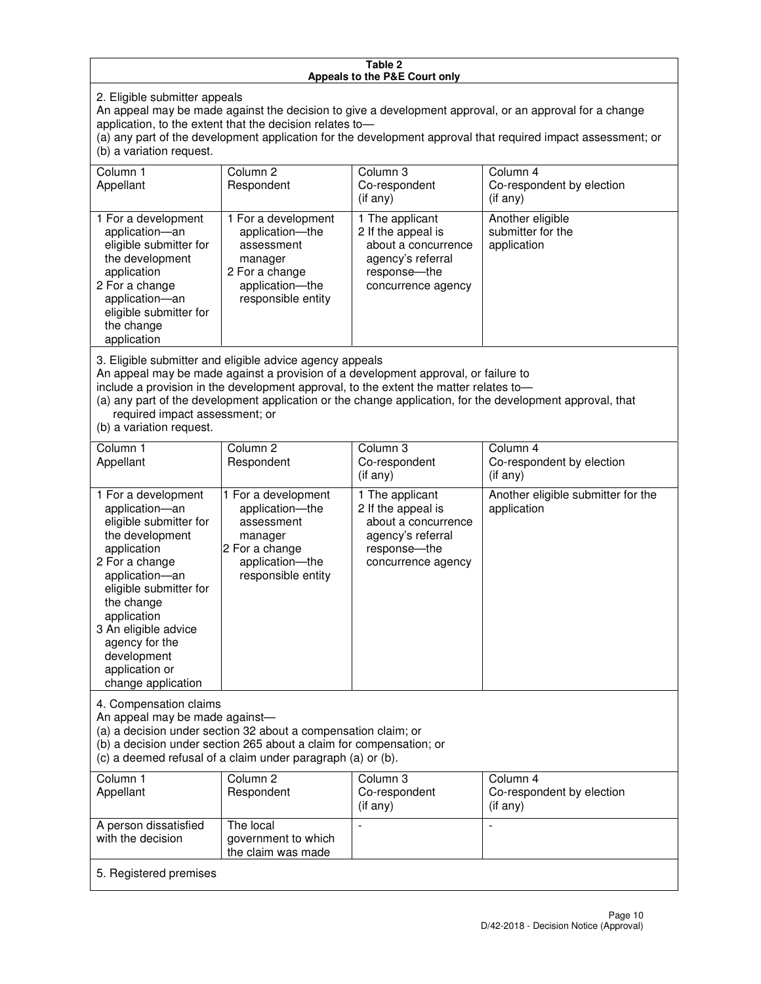#### **Table 2 Appeals to the P&E Court only**

2. Eligible submitter appeals

An appeal may be made against the decision to give a development approval, or an approval for a change application, to the extent that the decision relates to—

(a) any part of the development application for the development approval that required impact assessment; or (b) a variation request.

| Column 1<br>Appellant                                                                                                                                                                                                                                                                                                                                                                                              | Column 2<br>Respondent                                                                                                     | Column 3<br>Co-respondent<br>$($ if any $)$                                                                               | Column 4<br>Co-respondent by election<br>(i f any)   |
|--------------------------------------------------------------------------------------------------------------------------------------------------------------------------------------------------------------------------------------------------------------------------------------------------------------------------------------------------------------------------------------------------------------------|----------------------------------------------------------------------------------------------------------------------------|---------------------------------------------------------------------------------------------------------------------------|------------------------------------------------------|
| 1 For a development<br>application-an<br>eligible submitter for<br>the development<br>application<br>2 For a change<br>application-an<br>eligible submitter for<br>the change<br>application                                                                                                                                                                                                                       | 1 For a development<br>application-the<br>assessment<br>manager<br>2 For a change<br>application-the<br>responsible entity | 1 The applicant<br>2 If the appeal is<br>about a concurrence<br>agency's referral<br>response---the<br>concurrence agency | Another eligible<br>submitter for the<br>application |
| 3. Eligible submitter and eligible advice agency appeals<br>An appeal may be made against a provision of a development approval, or failure to<br>include a provision in the development approval, to the extent the matter relates to-<br>(a) any part of the development application or the change application, for the development approval, that<br>required impact assessment; or<br>(b) a variation request. |                                                                                                                            |                                                                                                                           |                                                      |
| Column <sub>1</sub>                                                                                                                                                                                                                                                                                                                                                                                                | Column <sub>2</sub>                                                                                                        | Column 3                                                                                                                  | Column 4                                             |
| Appellant                                                                                                                                                                                                                                                                                                                                                                                                          | Respondent                                                                                                                 | Co-respondent<br>(if any)                                                                                                 | Co-respondent by election<br>(i f any)               |
| 1 For a development<br>application-an<br>eligible submitter for<br>the development<br>application                                                                                                                                                                                                                                                                                                                  | 1 For a development<br>application-the<br>assessment<br>manager<br>2 For a change                                          | 1 The applicant<br>2 If the appeal is<br>about a concurrence<br>agency's referral<br>response---the                       | Another eligible submitter for the<br>application    |

concurrence agency

4. Compensation claims An appeal may be made against—

2 For a change application—an eligible submitter for

the change application 3 An eligible advice agency for the development application or change application

(a) a decision under section 32 about a compensation claim; or

(b) a decision under section 265 about a claim for compensation; or

application—the responsible entity

(c) a deemed refusal of a claim under paragraph (a) or (b).

| Column 1<br>Appellant                      | Column 2<br>Respondent                                 | Column 3<br>Co-respondent<br>(if any) | Column 4<br>Co-respondent by election<br>$($ if any $)$ |
|--------------------------------------------|--------------------------------------------------------|---------------------------------------|---------------------------------------------------------|
| A person dissatisfied<br>with the decision | The local<br>government to which<br>the claim was made | -                                     |                                                         |
| 5. Registered premises                     |                                                        |                                       |                                                         |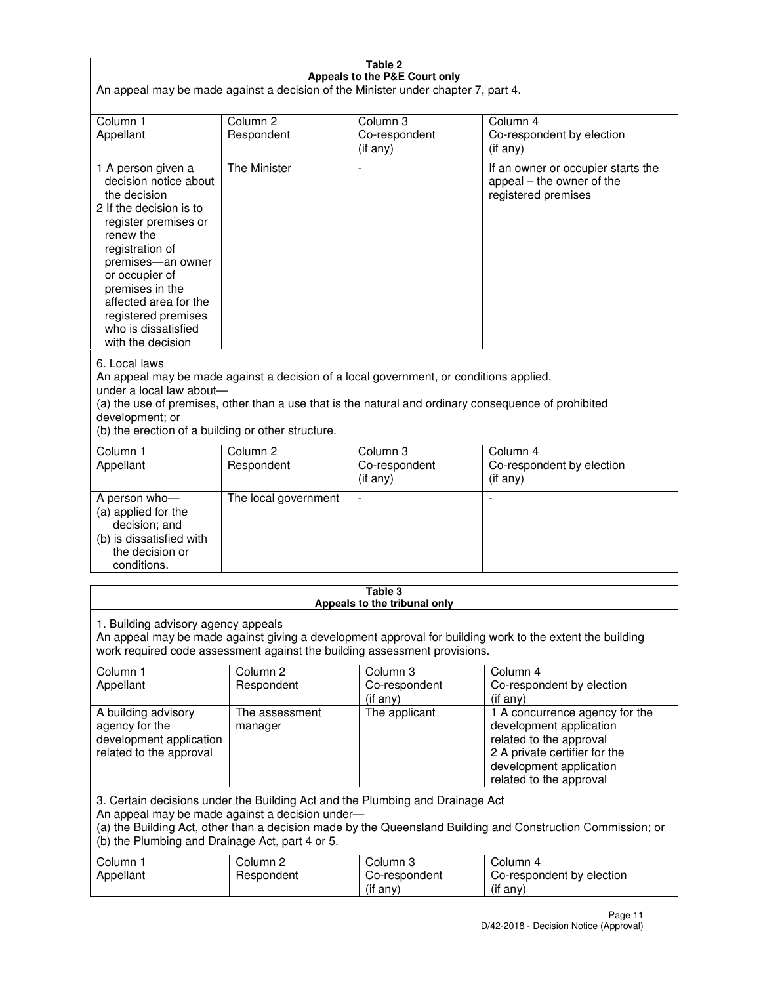| Table 2                                                                                                                                                                                                                                                                                                              |                                   |                                         |                                                                                                                                                                             |  |
|----------------------------------------------------------------------------------------------------------------------------------------------------------------------------------------------------------------------------------------------------------------------------------------------------------------------|-----------------------------------|-----------------------------------------|-----------------------------------------------------------------------------------------------------------------------------------------------------------------------------|--|
| Appeals to the P&E Court only<br>An appeal may be made against a decision of the Minister under chapter 7, part 4.                                                                                                                                                                                                   |                                   |                                         |                                                                                                                                                                             |  |
| Column 1                                                                                                                                                                                                                                                                                                             | Column <sub>2</sub>               | Column <sub>3</sub>                     | Column 4                                                                                                                                                                    |  |
| Appellant                                                                                                                                                                                                                                                                                                            | Respondent                        | Co-respondent<br>(if any)               | Co-respondent by election<br>(if any)                                                                                                                                       |  |
| 1 A person given a<br>decision notice about<br>the decision<br>2 If the decision is to<br>register premises or<br>renew the<br>registration of<br>premises-an owner<br>or occupier of<br>premises in the<br>affected area for the<br>registered premises<br>who is dissatisfied<br>with the decision                 | <b>The Minister</b>               | ÷,                                      | If an owner or occupier starts the<br>appeal – the owner of the<br>registered premises                                                                                      |  |
| 6. Local laws<br>An appeal may be made against a decision of a local government, or conditions applied,<br>under a local law about-<br>(a) the use of premises, other than a use that is the natural and ordinary consequence of prohibited<br>development; or<br>(b) the erection of a building or other structure. |                                   |                                         |                                                                                                                                                                             |  |
| Column 1<br>Appellant                                                                                                                                                                                                                                                                                                | Column 2<br>Respondent            | Column 3<br>Co-respondent<br>(if any)   | Column 4<br>Co-respondent by election<br>(if any)                                                                                                                           |  |
| A person who-<br>(a) applied for the<br>decision; and<br>(b) is dissatisfied with<br>the decision or<br>conditions.                                                                                                                                                                                                  | The local government              |                                         |                                                                                                                                                                             |  |
|                                                                                                                                                                                                                                                                                                                      |                                   | Table 3<br>Appeals to the tribunal only |                                                                                                                                                                             |  |
| 1. Building advisory agency appeals<br>An appeal may be made against giving a development approval for building work to the extent the building<br>work required code assessment against the building assessment provisions.                                                                                         |                                   |                                         |                                                                                                                                                                             |  |
| Column 1<br>Appellant                                                                                                                                                                                                                                                                                                | Column <sub>2</sub><br>Respondent | Column 3<br>Co-respondent<br>(if any)   | Column 4<br>Co-respondent by election<br>(if any)                                                                                                                           |  |
| A building advisory<br>agency for the<br>development application<br>related to the approval                                                                                                                                                                                                                          | The assessment<br>manager         | The applicant                           | 1 A concurrence agency for the<br>development application<br>related to the approval<br>2 A private certifier for the<br>development application<br>related to the approval |  |
| 3. Certain decisions under the Building Act and the Plumbing and Drainage Act<br>An appeal may be made against a decision under-<br>(a) the Building Act, other than a decision made by the Queensland Building and Construction Commission; or<br>(b) the Plumbing and Drainage Act, part 4 or 5.                   |                                   |                                         |                                                                                                                                                                             |  |
| Column 1<br>Appellant                                                                                                                                                                                                                                                                                                | Column <sub>2</sub><br>Respondent | Column 3<br>Co-respondent<br>(if any)   | Column 4<br>Co-respondent by election<br>(if any)                                                                                                                           |  |